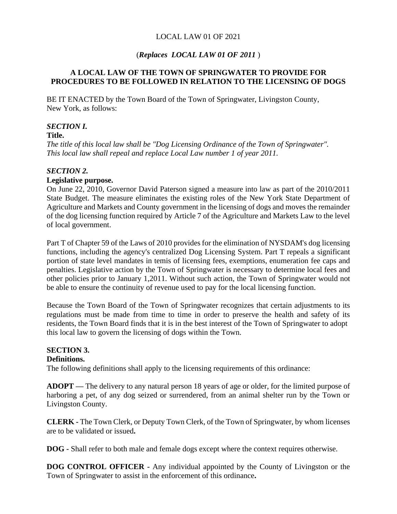## LOCAL LAW 01 OF 2021

## (*Replaces LOCAL LAW 01 OF 2011* )

## **A LOCAL LAW OF THE TOWN OF SPRINGWATER TO PROVIDE FOR PROCEDURES TO BE FOLLOWED IN RELATION TO THE LICENSING OF DOGS**

BE IT ENACTED by the Town Board of the Town of Springwater, Livingston County, New York, as follows:

## *SECTION I.*

#### **Title.**

*The title of this local law shall be "Dog Licensing Ordinance of the Town of Springwater". This local law shall repeal and replace Local Law number 1 of year 2011.*

#### *SECTION 2.*

## **Legislative purpose.**

On June 22, 2010, Governor David Paterson signed a measure into law as part of the 2010/2011 State Budget. The measure eliminates the existing roles of the New York State Department of Agriculture and Markets and County government in the licensing of dogs and moves the remainder of the dog licensing function required by Article 7 of the Agriculture and Markets Law to the level of local government.

Part T of Chapter 59 of the Laws of 2010 provides for the elimination of NYSDAM's dog licensing functions, including the agency's centralized Dog Licensing System. Part T repeals a significant portion of state level mandates in temis of licensing fees, exemptions, enumeration fee caps and penalties. Legislative action by the Town of Springwater is necessary to determine local fees and other policies prior to January 1,2011. Without such action, the Town of Springwater would not be able to ensure the continuity of revenue used to pay for the local licensing function.

Because the Town Board of the Town of Springwater recognizes that certain adjustments to its regulations must be made from time to time in order to preserve the health and safety of its residents, the Town Board finds that it is in the best interest of the Town of Springwater to adopt this local law to govern the licensing of dogs within the Town.

## **SECTION 3.**

#### **Definitions.**

The following definitions shall apply to the licensing requirements of this ordinance:

**ADOPT —** The delivery to any natural person 18 years of age or older, for the limited purpose of harboring a pet, of any dog seized or surrendered, from an animal shelter run by the Town or Livingston County.

**CLERK -** The Town Clerk, or Deputy Town Clerk, of the Town of Springwater, by whom licenses are to be validated or issued**.**

**DOG -** Shall refer to both male and female dogs except where the context requires otherwise.

**DOG CONTROL OFFICER -** Any individual appointed by the County of Livingston or the Town of Springwater to assist in the enforcement of this ordinance**.**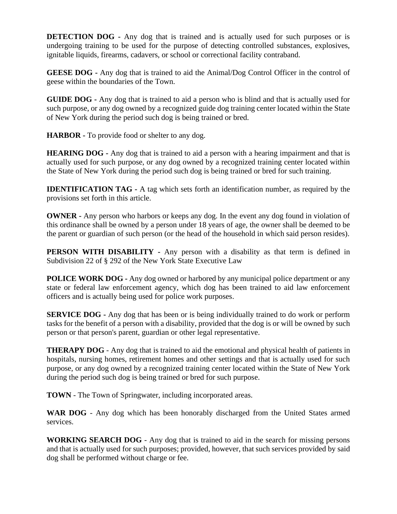**DETECTION DOG** - Any dog that is trained and is actually used for such purposes or is undergoing training to be used for the purpose of detecting controlled substances, explosives, ignitable liquids, firearms, cadavers, or school or correctional facility contraband.

**GEESE DOG -** Any dog that is trained to aid the Animal/Dog Control Officer in the control of geese within the boundaries of the Town.

**GUIDE DOG -** Any dog that is trained to aid a person who is blind and that is actually used for such purpose, or any dog owned by a recognized guide dog training center located within the State of New York during the period such dog is being trained or bred.

**HARBOR -** To provide food or shelter to any dog.

**HEARING DOG -** Any dog that is trained to aid a person with a hearing impairment and that is actually used for such purpose, or any dog owned by a recognized training center located within the State of New York during the period such dog is being trained or bred for such training.

**IDENTIFICATION TAG -** A tag which sets forth an identification number, as required by the provisions set forth in this article.

**OWNER -** Any person who harbors or keeps any dog. In the event any dog found in violation of this ordinance shall be owned by a person under 18 years of age, the owner shall be deemed to be the parent or guardian of such person (or the head of the household in which said person resides).

**PERSON WITH DISABILITY** - Any person with a disability as that term is defined in Subdivision 22 of § 292 of the New York State Executive Law

**POLICE WORK DOG -** Any dog owned or harbored by any municipal police department or any state or federal law enforcement agency, which dog has been trained to aid law enforcement officers and is actually being used for police work purposes.

**SERVICE DOG -** Any dog that has been or is being individually trained to do work or perform tasks for the benefit of a person with a disability, provided that the dog is or will be owned by such person or that person's parent, guardian or other legal representative.

**THERAPY DOG** - Any dog that is trained to aid the emotional and physical health of patients in hospitals, nursing homes, retirement homes and other settings and that is actually used for such purpose, or any dog owned by a recognized training center located within the State of New York during the period such dog is being trained or bred for such purpose.

**TOWN** - The Town of Springwater, including incorporated areas.

**WAR DOG** - Any dog which has been honorably discharged from the United States armed services.

**WORKING SEARCH DOG** - Any dog that is trained to aid in the search for missing persons and that is actually used for such purposes; provided, however, that such services provided by said dog shall be performed without charge or fee.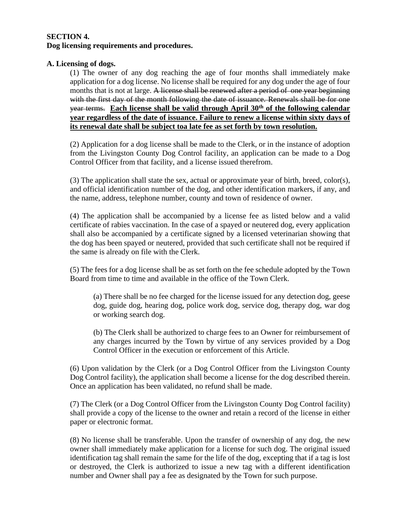#### **SECTION 4. Dog licensing requirements and procedures.**

## **A. Licensing of dogs.**

(1) The owner of any dog reaching the age of four months shall immediately make application for a dog license. No license shall be required for any dog under the age of four months that is not at large. A license shall be renewed after a period of one year beginning with the first day of the month following the date of issuance. Renewals shall be for one year terms. **Each license shall be valid through April 30th of the following calendar year regardless of the date of issuance. Failure to renew a license within sixty days of its renewal date shall be subject toa late fee as set forth by town resolution.**

(2) Application for a dog license shall be made to the Clerk, or in the instance of adoption from the Livingston County Dog Control facility, an application can be made to a Dog Control Officer from that facility, and a license issued therefrom.

(3) The application shall state the sex, actual or approximate year of birth, breed, color(s), and official identification number of the dog, and other identification markers, if any, and the name, address, telephone number, county and town of residence of owner.

(4) The application shall be accompanied by a license fee as listed below and a valid certificate of rabies vaccination. In the case of a spayed or neutered dog, every application shall also be accompanied by a certificate signed by a licensed veterinarian showing that the dog has been spayed or neutered, provided that such certificate shall not be required if the same is already on file with the Clerk.

(5) The fees for a dog license shall be as set forth on the fee schedule adopted by the Town Board from time to time and available in the office of the Town Clerk.

(a) There shall be no fee charged for the license issued for any detection dog, geese dog, guide dog, hearing dog, police work dog, service dog, therapy dog, war dog or working search dog.

(b) The Clerk shall be authorized to charge fees to an Owner for reimbursement of any charges incurred by the Town by virtue of any services provided by a Dog Control Officer in the execution or enforcement of this Article.

(6) Upon validation by the Clerk (or a Dog Control Officer from the Livingston County Dog Control facility), the application shall become a license for the dog described therein. Once an application has been validated, no refund shall be made.

(7) The Clerk (or a Dog Control Officer from the Livingston County Dog Control facility) shall provide a copy of the license to the owner and retain a record of the license in either paper or electronic format.

(8) No license shall be transferable. Upon the transfer of ownership of any dog, the new owner shall immediately make application for a license for such dog. The original issued identification tag shall remain the same for the life of the dog, excepting that if a tag is lost or destroyed, the Clerk is authorized to issue a new tag with a different identification number and Owner shall pay a fee as designated by the Town for such purpose.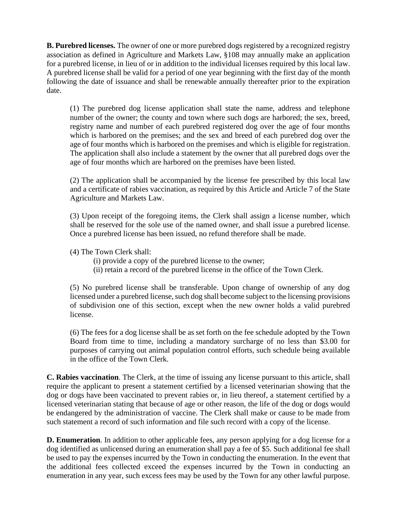**B. Purebred licenses.** The owner of one or more purebred dogs registered by a recognized registry association as defined in Agriculture and Markets Law, §108 may annually make an application for a purebred license, in lieu of or in addition to the individual licenses required by this local law. A purebred license shall be valid for a period of one year beginning with the first day of the month following the date of issuance and shall be renewable annually thereafter prior to the expiration date.

(1) The purebred dog license application shall state the name, address and telephone number of the owner; the county and town where such dogs are harbored; the sex, breed, registry name and number of each purebred registered dog over the age of four months which is harbored on the premises; and the sex and breed of each purebred dog over the age of four months which is harbored on the premises and which is eligible for registration. The application shall also include a statement by the owner that all purebred dogs over the age of four months which are harbored on the premises have been listed.

(2) The application shall be accompanied by the license fee prescribed by this local law and a certificate of rabies vaccination, as required by this Article and Article 7 of the State Agriculture and Markets Law.

(3) Upon receipt of the foregoing items, the Clerk shall assign a license number, which shall be reserved for the sole use of the named owner, and shall issue a purebred license. Once a purebred license has been issued, no refund therefore shall be made.

(4) The Town Clerk shall:

- (i) provide a copy of the purebred license to the owner;
- (ii) retain a record of the purebred license in the office of the Town Clerk.

(5) No purebred license shall be transferable. Upon change of ownership of any dog licensed under a purebred license, such dog shall become subject to the licensing provisions of subdivision one of this section, except when the new owner holds a valid purebred license.

(6) The fees for a dog license shall be as set forth on the fee schedule adopted by the Town Board from time to time, including a mandatory surcharge of no less than \$3.00 for purposes of carrying out animal population control efforts, such schedule being available in the office of the Town Clerk.

**C. Rabies vaccination**. The Clerk, at the time of issuing any license pursuant to this article, shall require the applicant to present a statement certified by a licensed veterinarian showing that the dog or dogs have been vaccinated to prevent rabies or, in lieu thereof, a statement certified by a licensed veterinarian stating that because of age or other reason, the life of the dog or dogs would be endangered by the administration of vaccine. The Clerk shall make or cause to be made from such statement a record of such information and file such record with a copy of the license.

**D. Enumeration**. In addition to other applicable fees, any person applying for a dog license for a dog identified as unlicensed during an enumeration shall pay a fee of \$5. Such additional fee shall be used to pay the expenses incurred by the Town in conducting the enumeration. In the event that the additional fees collected exceed the expenses incurred by the Town in conducting an enumeration in any year, such excess fees may be used by the Town for any other lawful purpose.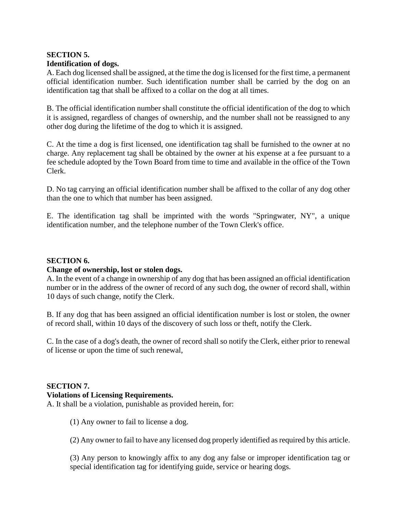## **SECTION 5. Identification of dogs.**

A. Each dog licensed shall be assigned, at the time the dog is licensed for the first time, a permanent official identification number. Such identification number shall be carried by the dog on an identification tag that shall be affixed to a collar on the dog at all times.

B. The official identification number shall constitute the official identification of the dog to which it is assigned, regardless of changes of ownership, and the number shall not be reassigned to any other dog during the lifetime of the dog to which it is assigned.

C. At the time a dog is first licensed, one identification tag shall be furnished to the owner at no charge. Any replacement tag shall be obtained by the owner at his expense at a fee pursuant to a fee schedule adopted by the Town Board from time to time and available in the office of the Town Clerk.

D. No tag carrying an official identification number shall be affixed to the collar of any dog other than the one to which that number has been assigned.

E. The identification tag shall be imprinted with the words "Springwater, NY", a unique identification number, and the telephone number of the Town Clerk's office.

## **SECTION 6.**

#### **Change of ownership, lost or stolen dogs.**

A. In the event of a change in ownership of any dog that has been assigned an official identification number or in the address of the owner of record of any such dog, the owner of record shall, within 10 days of such change, notify the Clerk.

B. If any dog that has been assigned an official identification number is lost or stolen, the owner of record shall, within 10 days of the discovery of such loss or theft, notify the Clerk.

C. In the case of a dog's death, the owner of record shall so notify the Clerk, either prior to renewal of license or upon the time of such renewal,

## **SECTION 7.**

#### **Violations of Licensing Requirements.**

A. It shall be a violation, punishable as provided herein, for:

(1) Any owner to fail to license a dog.

(2) Any owner to fail to have any licensed dog properly identified as required by this article.

(3) Any person to knowingly affix to any dog any false or improper identification tag or special identification tag for identifying guide, service or hearing dogs.